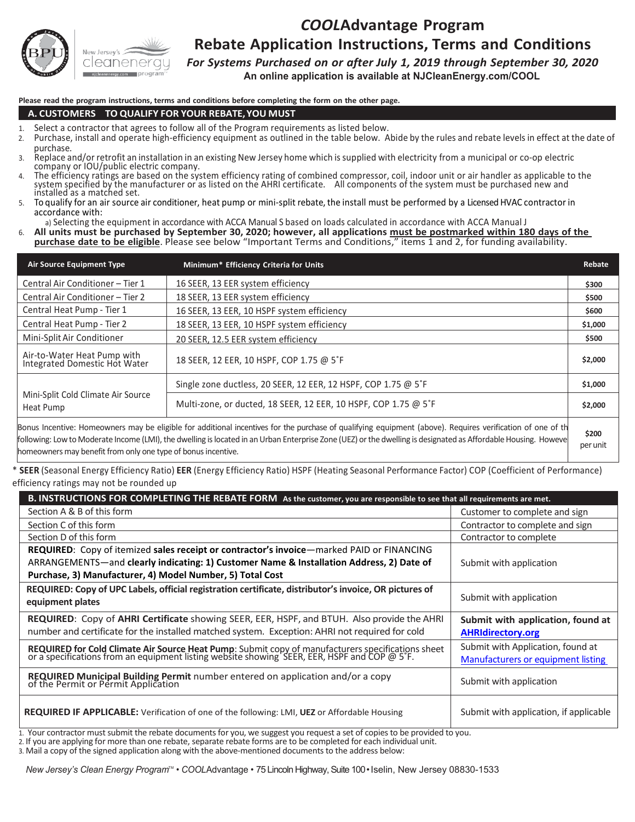

## *COOL***Advantage Program Rebate Application Instructions, Terms and Conditions**

*For Systems Purchased on or after July 1, 2019 through September 30, 2020*

**An online application is available at NJCleanEnergy.com/COOL**

**Please read the program instructions, terms and conditions before completing the form on the other page.**

#### **A. CUSTOMERS – TO QUALIFY FOR YOUR REBATE,YOU MUST**

- 
- 1. Select a contractor that agrees to follow all of the Program requirements as listed below.<br>2. Purchase, install and operate high-efficiency equipment as outlined in the table below. Abide by the rules and rebate levels purchase.
- 3. Replace and/or retrofit an installation in an existing New Jersey home which issupplied with electricity from a municipal or co-op electric company or IOU/public electric company.
- 4. The efficiency ratings are based on the system efficiency rating of combined compressor, coil, indoor unit or air handler as applicable to the system specified by the manufacturer or as listed on the AHRI certificate. A
- accordance with:
- a) Selecting the equipment in accordance with ACCA Manual S based on loads calculated in accordance with ACCA Manual J

6. All units must be purchased by September 30, 2020; however, all applications must be postmarked within 180 days of the **purchase date to be eligible**. Please see below "Important Terms and Conditions," items 1 and 2, for funding availability.

| <b>Air Source Equipment Type</b>                             | Minimum* Efficiency Criteria for Units                                                                                                                                                                                                                                                                                        | Rebate            |
|--------------------------------------------------------------|-------------------------------------------------------------------------------------------------------------------------------------------------------------------------------------------------------------------------------------------------------------------------------------------------------------------------------|-------------------|
| Central Air Conditioner - Tier 1                             | 16 SEER, 13 EER system efficiency                                                                                                                                                                                                                                                                                             | \$300             |
| Central Air Conditioner - Tier 2                             | 18 SEER, 13 EER system efficiency                                                                                                                                                                                                                                                                                             | \$500             |
| Central Heat Pump - Tier 1                                   | 16 SEER, 13 EER, 10 HSPF system efficiency                                                                                                                                                                                                                                                                                    | \$600             |
| Central Heat Pump - Tier 2                                   | 18 SEER, 13 EER, 10 HSPF system efficiency                                                                                                                                                                                                                                                                                    | \$1,000           |
| Mini-Split Air Conditioner                                   | 20 SEER, 12.5 EER system efficiency                                                                                                                                                                                                                                                                                           | \$500             |
| Air-to-Water Heat Pump with<br>Integrated Domestic Hot Water | 18 SEER, 12 EER, 10 HSPF, COP 1.75 @ 5°F                                                                                                                                                                                                                                                                                      | \$2,000           |
|                                                              | Single zone ductless, 20 SEER, 12 EER, 12 HSPF, COP 1.75 @ 5°F                                                                                                                                                                                                                                                                | \$1,000           |
| Mini-Split Cold Climate Air Source<br>Heat Pump              | Multi-zone, or ducted, 18 SEER, 12 EER, 10 HSPF, COP 1.75 @ 5°F                                                                                                                                                                                                                                                               | \$2,000           |
|                                                              | Bonus Incentive: Homeowners may be eligible for additional incentives for the purchase of qualifying equipment (above). Requires verification of one of th<br>frollowing: Low to Moderate Income (LMI), the dwelling is located in an Urban Enterprise Zone (UEZ) or the dwelling is designated as Affordable Housing. Howeve | \$200<br>per unit |

homeowners may benefit from only one type of bonus incentive.

\* **SEER** (Seasonal Energy Efficiency Ratio) **EER** (Energy Efficiency Ratio) HSPF (Heating Seasonal Performance Factor) COP (Coefficient of Performance) efficiency ratings may not be rounded up

| B. INSTRUCTIONS FOR COMPLETING THE REBATE FORM As the customer, you are responsible to see that all requirements are met.                                                                      |                                                                         |
|------------------------------------------------------------------------------------------------------------------------------------------------------------------------------------------------|-------------------------------------------------------------------------|
| Section A & B of this form                                                                                                                                                                     | Customer to complete and sign                                           |
| Section C of this form                                                                                                                                                                         | Contractor to complete and sign                                         |
| Section D of this form                                                                                                                                                                         | Contractor to complete                                                  |
| REQUIRED: Copy of itemized sales receipt or contractor's invoice-marked PAID or FINANCING                                                                                                      |                                                                         |
| ARRANGEMENTS-and clearly indicating: 1) Customer Name & Installation Address, 2) Date of                                                                                                       | Submit with application                                                 |
| Purchase, 3) Manufacturer, 4) Model Number, 5) Total Cost                                                                                                                                      |                                                                         |
| REQUIRED: Copy of UPC Labels, official registration certificate, distributor's invoice, OR pictures of<br>equipment plates                                                                     | Submit with application                                                 |
| REQUIRED: Copy of AHRI Certificate showing SEER, EER, HSPF, and BTUH. Also provide the AHRI<br>number and certificate for the installed matched system. Exception: AHRI not required for cold  | Submit with application, found at<br><b>AHRIdirectory.org</b>           |
| REQUIRED for Cold Climate Air Source Heat Pump: Submit copy of manufacturers specifications sheet or a specifications from an equipment listing website showing SEER, EER, HSPF and COP @ 5°F. | Submit with Application, found at<br>Manufacturers or equipment listing |
| REQUIRED Municipal Building Permit number entered on application and/or a copy of the Permit or Permit Application                                                                             | Submit with application                                                 |
| <b>REQUIRED IF APPLICABLE:</b> Verification of one of the following: LMI, UEZ or Affordable Housing                                                                                            | Submit with application, if applicable                                  |

1. Your contractor must submit the rebate documents for you, we suggest you request a set of copies to be provided to you.<br>2. If you are applying for more than one rebate, separate rebate forms are to be completed for each

3. Mail a copy of the signed application along with the above-mentioned documents to the address below:

*New Jersey's Clean Energy Program*TM • *COOL*Advantage • 75 Lincoln Highway, Suite 100 • Iselin, New Jersey 08830-1533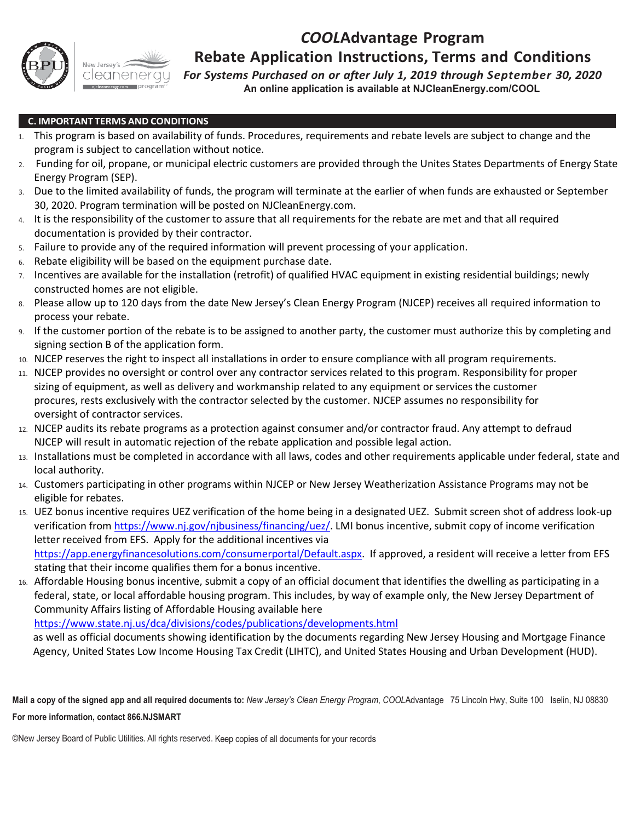



## **Rebate Application Instructions, Terms and Conditions**

*For Systems Purchased on or after July 1, 2019 through September 30, 2020* **An online application is available at NJCleanEnergy.com/COOL**

### **C. IMPORTANT TERMS AND CONDITIONS**

- 1. This program is based on availability of funds. Procedures, requirements and rebate levels are subject to change and the program is subject to cancellation without notice.
- 2. Funding for oil, propane, or municipal electric customers are provided through the Unites States Departments of Energy State Energy Program (SEP).
- 3. Due to the limited availability of funds, the program will terminate at the earlier of when funds are exhausted or September 30, 2020. Program termination will be posted on NJCleanEnergy.com.
- 4. It is the responsibility of the customer to assure that all requirements for the rebate are met and that all required documentation is provided by their contractor.
- 5. Failure to provide any of the required information will prevent processing of your application.
- 6. Rebate eligibility will be based on the equipment purchase date.
- 7. Incentives are available for the installation (retrofit) of qualified HVAC equipment in existing residential buildings; newly constructed homes are not eligible.
- 8. Please allow up to 120 days from the date New Jersey's Clean Energy Program (NJCEP) receives all required information to process your rebate.
- 9. If the customer portion of the rebate is to be assigned to another party, the customer must authorize this by completing and signing section B of the application form.
- 10. NJCEP reserves the right to inspect all installations in order to ensure compliance with all program requirements.
- 11. NJCEP provides no oversight or control over any contractor services related to this program. Responsibility for proper sizing of equipment, as well as delivery and workmanship related to any equipment or services the customer procures, rests exclusively with the contractor selected by the customer. NJCEP assumes no responsibility for oversight of contractor services.
- 12. NJCEP audits its rebate programs as a protection against consumer and/or contractor fraud. Any attempt to defraud NJCEP will result in automatic rejection of the rebate application and possible legal action.
- 13. Installations must be completed in accordance with all laws, codes and other requirements applicable under federal, state and local authority.
- 14. Customers participating in other programs within NJCEP or New Jersey Weatherization Assistance Programs may not be eligible for rebates.
- 15. UEZ bonus incentive requires UEZ verification of the home being in a designated UEZ. Submit screen shot of address look-up verification from [https://www.nj.gov/njbusiness/financing/uez/.](https://www.nj.gov/njbusiness/financing/uez/) LMI bonus incentive, submit copy of income verification letter received from EFS. Apply for the additional incentives via [https://app.energyfinancesolutions.com/consumerportal/Default.aspx.](https://app.energyfinancesolutions.com/consumerportal/Default.aspx) If approved, a resident will receive a letter from EFS stating that their income qualifies them for a bonus incentive.
- 16. Affordable Housing bonus incentive, submit a copy of an official document that identifies the dwelling as participating in a federal, state, or local affordable housing program. This includes, by way of example only, the New Jersey Department of Community Affairs listing of Affordable Housing available here

<https://www.state.nj.us/dca/divisions/codes/publications/developments.html>

as well as official documents showing identification by the documents regarding New Jersey Housing and Mortgage Finance Agency, United States Low Income Housing Tax Credit (LIHTC), and United States Housing and Urban Development (HUD).

**Mail a copy of the signed app and all required documents to:** *New Jersey's Clean Energy Program*, *COOL*Advantage 75 Lincoln Hwy, Suite 100 Iselin, NJ 08830 **For more information, contact 866.NJSMART**

©New Jersey Board of Public Utilities. All rights reserved. Keep copies of all documents for your records